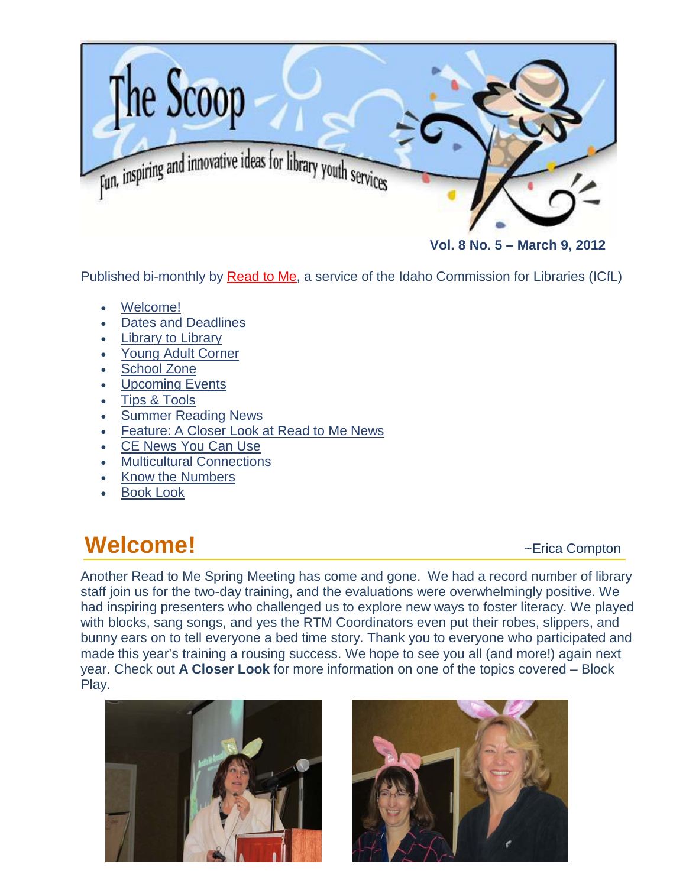

 **Vol. 8 No. 5 – March 9, 2012**

Published bi-monthly by [Read to Me,](http://libraries.idaho.gov/readtome) a service of the Idaho Commission for Libraries (ICfL)

- [Welcome!](#page-0-0)
- [Dates and Deadlines](#page-1-0)
- **[Library to Library](#page-1-1)**
- [Young Adult Corner](#page-2-0)
- [School Zone](#page-4-0)
- **[Upcoming Events](#page-6-0)**
- [Tips & Tools](#page-7-0)
- [Summer Reading News](#page-8-0)
- Feature: [A Closer Look at Read to Me News](#page-9-0)
- [CE News You Can Use](#page-10-0)
- **[Multicultural Connections](#page-12-0)**
- [Know the Numbers](#page-14-0)
- **[Book Look](#page-14-1)**

### <span id="page-0-0"></span>**Welcome!**  $\sim$  **Existence Operation**

Another Read to Me Spring Meeting has come and gone. We had a record number of library staff join us for the two-day training, and the evaluations were overwhelmingly positive. We had inspiring presenters who challenged us to explore new ways to foster literacy. We played with blocks, sang songs, and yes the RTM Coordinators even put their robes, slippers, and bunny ears on to tell everyone a bed time story. Thank you to everyone who participated and made this year's training a rousing success. We hope to see you all (and more!) again next year. Check out **A Closer Look** for more information on one of the topics covered – Block Play.



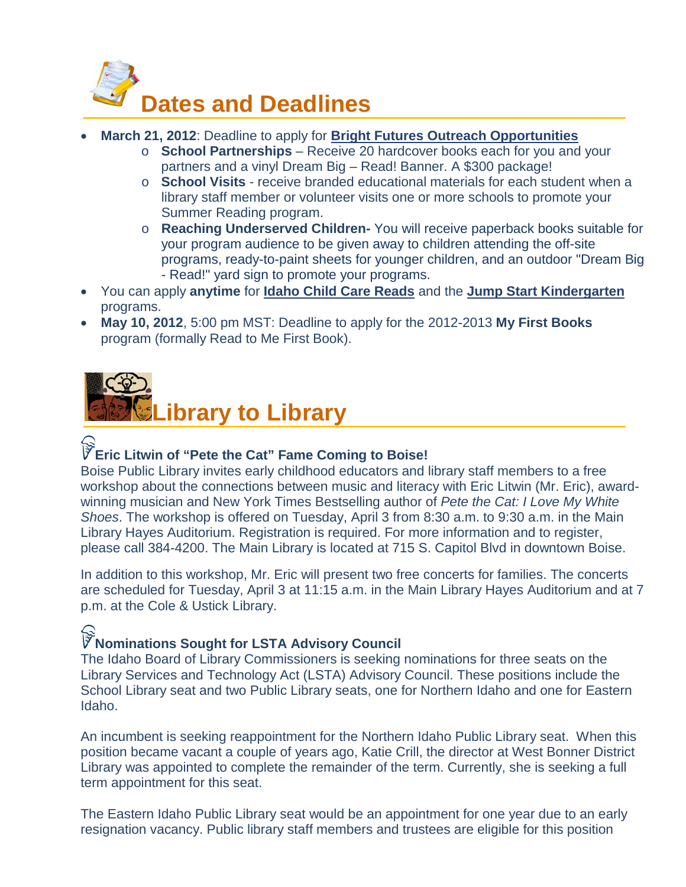<span id="page-1-0"></span>

- **March 21, 2012**: Deadline to apply for **[Bright Futures Outreach Opportunities](http://libraries.idaho.gov/landing/summer-reading)**
	- o **School Partnerships** Receive 20 hardcover books each for you and your partners and a vinyl Dream Big – Read! Banner. A \$300 package!
	- o **School Visits** receive branded educational materials for each student when a library staff member or volunteer visits one or more schools to promote your Summer Reading program.
	- o **Reaching Underserved Children-** You will receive paperback books suitable for your program audience to be given away to children attending the off-site programs, ready-to-paint sheets for younger children, and an outdoor "Dream Big - Read!" yard sign to promote your programs.
- You can apply **anytime** for **[Idaho Child Care Reads](http://libraries.idaho.gov/landing/idaho-child-care-reads)** and the **[Jump Start Kindergarten](http://libraries.idaho.gov/landing/jump-start)** programs.
- **May 10, 2012**, 5:00 pm MST: Deadline to apply for the 2012-2013 **My First Books** program (formally Read to Me First Book).

<span id="page-1-1"></span>

### **Eric Litwin of "Pete the Cat" Fame Coming to Boise!**

Boise Public Library invites early childhood educators and library staff members to a free workshop about the connections between music and literacy with Eric Litwin (Mr. Eric), awardwinning musician and New York Times Bestselling author of *Pete the Cat: I Love My White Shoes*. The workshop is offered on Tuesday, April 3 from 8:30 a.m. to 9:30 a.m. in the Main Library Hayes Auditorium. Registration is required. For more information and to register, please call 384-4200. The Main Library is located at 715 S. Capitol Blvd in downtown Boise.

In addition to this workshop, Mr. Eric will present two free concerts for families. The concerts are scheduled for Tuesday, April 3 at 11:15 a.m. in the Main Library Hayes Auditorium and at 7 p.m. at the Cole & Ustick Library.

### **Nominations Sought for LSTA Advisory Council**

The Idaho Board of Library Commissioners is seeking nominations for three seats on the Library Services and Technology Act (LSTA) Advisory Council. These positions include the School Library seat and two Public Library seats, one for Northern Idaho and one for Eastern Idaho.

An incumbent is seeking reappointment for the Northern Idaho Public Library seat. When this position became vacant a couple of years ago, Katie Crill, the director at West Bonner District Library was appointed to complete the remainder of the term. Currently, she is seeking a full term appointment for this seat.

The Eastern Idaho Public Library seat would be an appointment for one year due to an early resignation vacancy. Public library staff members and trustees are eligible for this position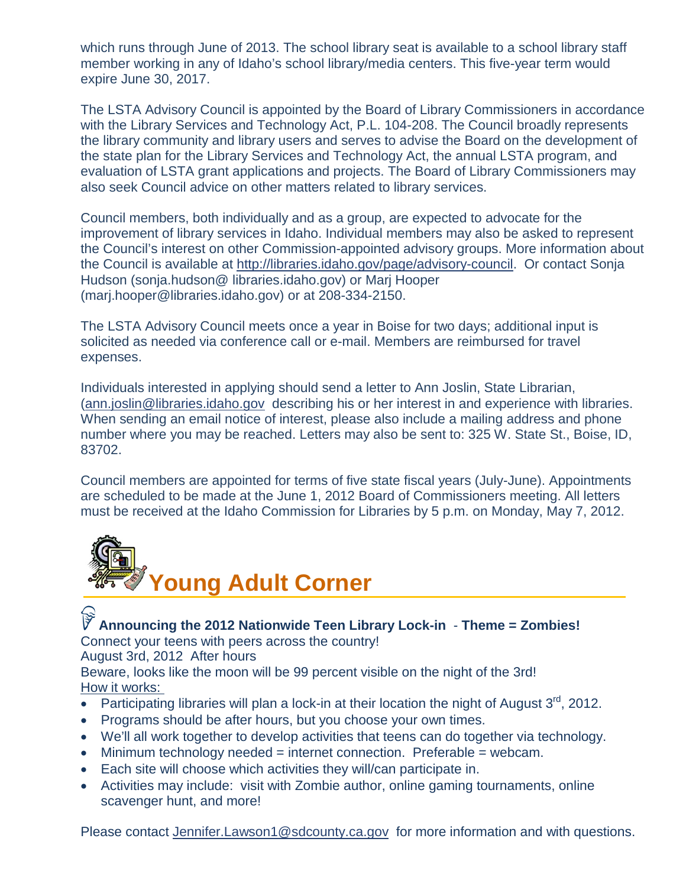which runs through June of 2013. The school library seat is available to a school library staff member working in any of Idaho's school library/media centers. This five-year term would expire June 30, 2017.

The LSTA Advisory Council is appointed by the Board of Library Commissioners in accordance with the Library Services and Technology Act, P.L. 104-208. The Council broadly represents the library community and library users and serves to advise the Board on the development of the state plan for the Library Services and Technology Act, the annual LSTA program, and evaluation of LSTA grant applications and projects. The Board of Library Commissioners may also seek Council advice on other matters related to library services.

Council members, both individually and as a group, are expected to advocate for the improvement of library services in Idaho. Individual members may also be asked to represent the Council's interest on other Commission-appointed advisory groups. More information about the Council is available at [http://libraries.idaho.gov/page/advisory-council.](http://libraries.idaho.gov/page/advisory-council) Or contact Sonja Hudson (sonja.hudson@ libraries.idaho.gov) or Marj Hooper (marj.hooper@libraries.idaho.gov) or at 208-334-2150.

The LSTA Advisory Council meets once a year in Boise for two days; additional input is solicited as needed via conference call or e-mail. Members are reimbursed for travel expenses.

Individuals interested in applying should send a letter to Ann Joslin, State Librarian, [\(ann.joslin@libraries.idaho.gov](mailto:ann.joslin@libraries.idaho.gov) describing his or her interest in and experience with libraries. When sending an email notice of interest, please also include a mailing address and phone number where you may be reached. Letters may also be sent to: 325 W. State St., Boise, ID, 83702.

Council members are appointed for terms of five state fiscal years (July-June). Appointments are scheduled to be made at the June 1, 2012 Board of Commissioners meeting. All letters must be received at the Idaho Commission for Libraries by 5 p.m. on Monday, May 7, 2012.

<span id="page-2-0"></span>

### **Announcing the 2012 Nationwide Teen Library Lock-in** - **Theme = Zombies!** Connect your teens with peers across the country!

August 3rd, 2012 After hours

Beware, looks like the moon will be 99 percent visible on the night of the 3rd! How it works:

- Participating libraries will plan a lock-in at their location the night of August  $3^{\text{rd}}$ , 2012.
- Programs should be after hours, but you choose your own times.
- We'll all work together to develop activities that teens can do together via technology.
- Minimum technology needed  $=$  internet connection. Preferable  $=$  webcam.
- Each site will choose which activities they will/can participate in.
- Activities may include: visit with Zombie author, online gaming tournaments, online scavenger hunt, and more!

Please contact [Jennifer.Lawson1@sdcounty.ca.gov](mailto:pgarone@cla-net.org) for more information and with questions.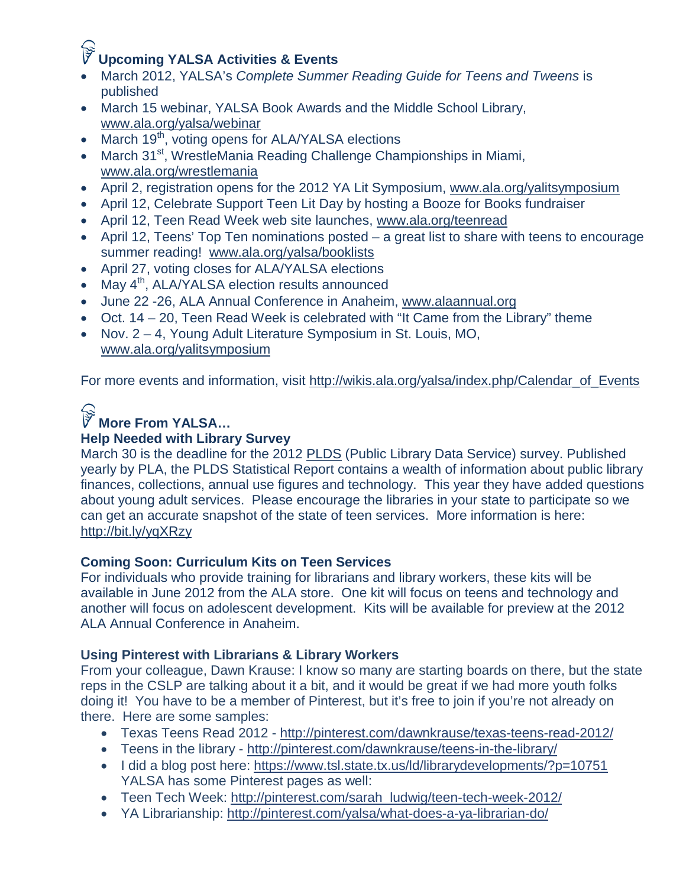### **Upcoming YALSA Activities & Events**

- March 2012, YALSA's *Complete Summer Reading Guide for Teens and Tweens* is published
- March 15 webinar, YALSA Book Awards and the Middle School Library, [www.ala.org/yalsa/webinar](http://www.ala.org/yalsa/webinar)
- March 19<sup>th</sup>, voting opens for ALA/YALSA elections
- March 31<sup>st</sup>, WrestleMania Reading Challenge Championships in Miami, [www.ala.org/wrestlemania](http://www.ala.org/wrestlemania)
- April 2, registration opens for the 2012 YA Lit Symposium, [www.ala.org/yalitsymposium](http://www.ala.org/yalitsymposium)
- April 12, Celebrate Support Teen Lit Day by hosting a Booze for Books fundraiser
- April 12, Teen Read Week web site launches, [www.ala.org/teenread](http://www.ala.org/teenread)
- April 12, Teens' Top Ten nominations posted a great list to share with teens to encourage summer reading! [www.ala.org/yalsa/booklists](http://www.ala.org/yalsa/booklists)
- April 27, voting closes for ALA/YALSA elections
- May  $4<sup>th</sup>$ , ALA/YALSA election results announced
- June 22 -26, ALA Annual Conference in Anaheim, [www.alaannual.org](http://www.alaannual.org/)
- Oct. 14 20, Teen Read Week is celebrated with "It Came from the Library" theme
- Nov. 2 4, Young Adult Literature Symposium in St. Louis, MO, [www.ala.org/yalitsymposium](http://www.ala.org/yalitsymposium)

For more events and information, visit [http://wikis.ala.org/yalsa/index.php/Calendar\\_of\\_Events](http://wikis.ala.org/yalsa/index.php/Calendar_of_Events)

### **More From YALSA…**

### **Help Needed with Library Survey**

March 30 is the deadline for the 2012 [PLDS](http://pla.countingopinions.com/) (Public Library Data Service) survey. Published yearly by PLA, the PLDS Statistical Report contains a wealth of information about public library finances, collections, annual use figures and technology. This year they have added questions about young adult services. Please encourage the libraries in your state to participate so we can get an accurate snapshot of the state of teen services. More information is here: <http://bit.ly/yqXRzy>

### **Coming Soon: Curriculum Kits on Teen Services**

For individuals who provide training for librarians and library workers, these kits will be available in June 2012 from the ALA store. One kit will focus on teens and technology and another will focus on adolescent development. Kits will be available for preview at the 2012 ALA Annual Conference in Anaheim.

### **Using Pinterest with Librarians & Library Workers**

From your colleague, Dawn Krause: I know so many are starting boards on there, but the state reps in the CSLP are talking about it a bit, and it would be great if we had more youth folks doing it! You have to be a member of Pinterest, but it's free to join if you're not already on there. Here are some samples:

- Texas Teens Read 2012 <http://pinterest.com/dawnkrause/texas-teens-read-2012/>
- Teens in the library <http://pinterest.com/dawnkrause/teens-in-the-library/>
- I did a blog post here:<https://www.tsl.state.tx.us/ld/librarydevelopments/?p=10751> YALSA has some Pinterest pages as well:
- Teen Tech Week: [http://pinterest.com/sarah\\_ludwig/teen-tech-week-2012/](http://pinterest.com/sarah_ludwig/teen-tech-week-2012/)
- YA Librarianship:<http://pinterest.com/yalsa/what-does-a-ya-librarian-do/>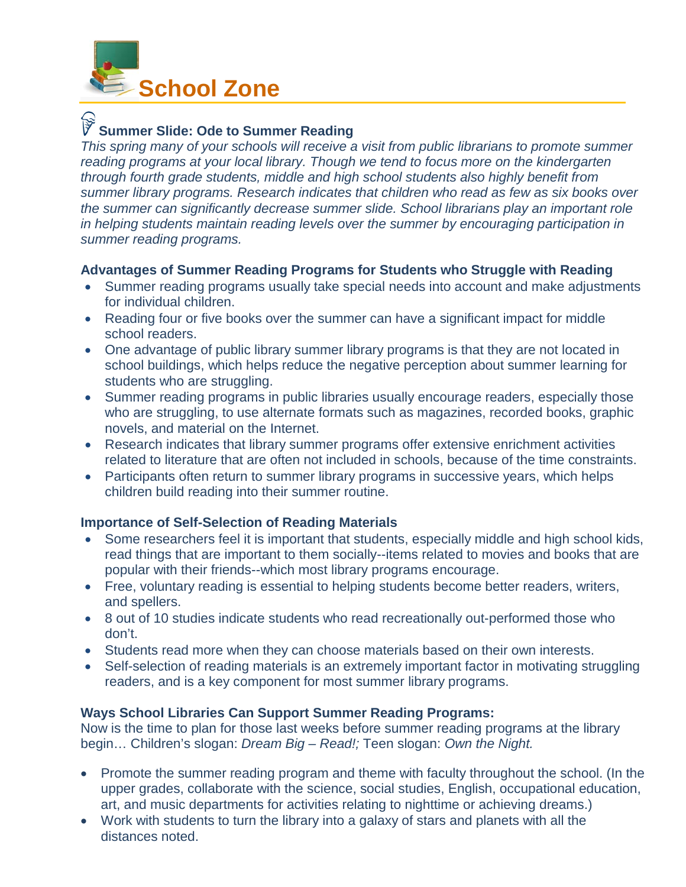<span id="page-4-0"></span>

### **Summer Slide: Ode to Summer Reading**

*This spring many of your schools will receive a visit from public librarians to promote summer reading programs at your local library. Though we tend to focus more on the kindergarten through fourth grade students, middle and high school students also highly benefit from summer library programs. Research indicates that children who read as few as six books over the summer can significantly decrease summer slide. School librarians play an important role in helping students maintain reading levels over the summer by encouraging participation in summer reading programs.*

#### **Advantages of Summer Reading Programs for Students who Struggle with Reading**

- Summer reading programs usually take special needs into account and make adjustments for individual children.
- Reading four or five books over the summer can have a significant impact for middle school readers.
- One advantage of public library summer library programs is that they are not located in school buildings, which helps reduce the negative perception about summer learning for students who are struggling.
- Summer reading programs in public libraries usually encourage readers, especially those who are struggling, to use alternate formats such as magazines, recorded books, graphic novels, and material on the Internet.
- Research indicates that library summer programs offer extensive enrichment activities related to literature that are often not included in schools, because of the time constraints.
- Participants often return to summer library programs in successive years, which helps children build reading into their summer routine.

#### **Importance of Self-Selection of Reading Materials**

- Some researchers feel it is important that students, especially middle and high school kids, read things that are important to them socially--items related to movies and books that are popular with their friends--which most library programs encourage.
- Free, voluntary reading is essential to helping students become better readers, writers, and spellers.
- 8 out of 10 studies indicate students who read recreationally out-performed those who don't.
- Students read more when they can choose materials based on their own interests.
- Self-selection of reading materials is an extremely important factor in motivating struggling readers, and is a key component for most summer library programs.

#### **Ways School Libraries Can Support Summer Reading Programs:**

Now is the time to plan for those last weeks before summer reading programs at the library begin… Children's slogan: *Dream Big – Read!;* Teen slogan: *Own the Night.*

- Promote the summer reading program and theme with faculty throughout the school. (In the upper grades, collaborate with the science, social studies, English, occupational education, art, and music departments for activities relating to nighttime or achieving dreams.)
- Work with students to turn the library into a galaxy of stars and planets with all the distances noted.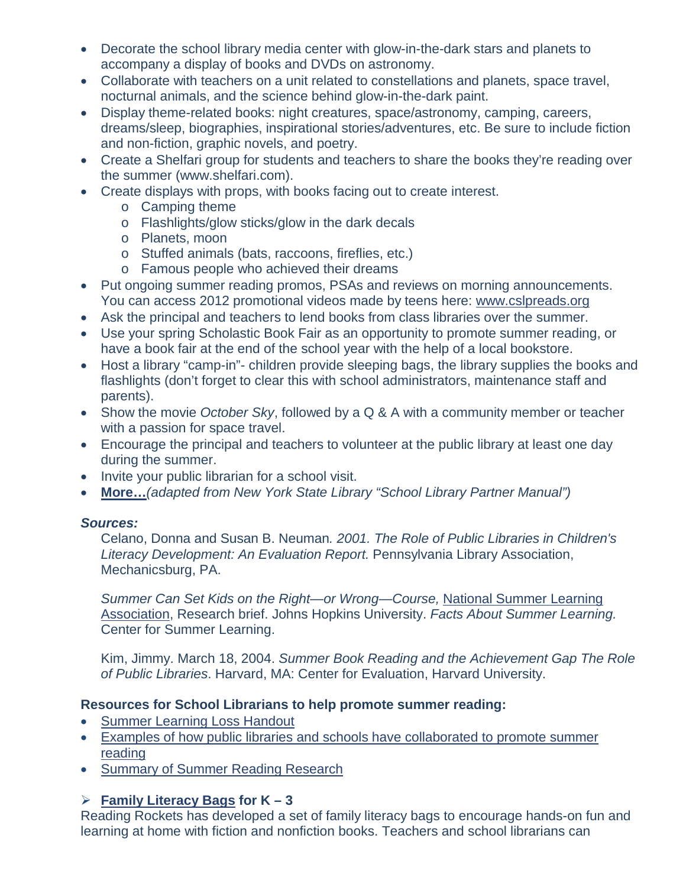- Decorate the school library media center with glow-in-the-dark stars and planets to accompany a display of books and DVDs on astronomy.
- Collaborate with teachers on a unit related to constellations and planets, space travel, nocturnal animals, and the science behind glow-in-the-dark paint.
- Display theme-related books: night creatures, space/astronomy, camping, careers, dreams/sleep, biographies, inspirational stories/adventures, etc. Be sure to include fiction and non-fiction, graphic novels, and poetry.
- Create a Shelfari group for students and teachers to share the books they're reading over the summer (www.shelfari.com).
- Create displays with props, with books facing out to create interest.
	- o Camping theme
	- o Flashlights/glow sticks/glow in the dark decals
	- o Planets, moon
	- o Stuffed animals (bats, raccoons, fireflies, etc.)
	- o Famous people who achieved their dreams
- Put ongoing summer reading promos, PSAs and reviews on morning announcements. You can access 2012 promotional videos made by teens here: [www.cslpreads.org](http://www.cslpreads.org/)
- Ask the principal and teachers to lend books from class libraries over the summer.
- Use your spring Scholastic Book Fair as an opportunity to promote summer reading, or have a book fair at the end of the school year with the help of a local bookstore.
- Host a library "camp-in"- children provide sleeping bags, the library supplies the books and flashlights (don't forget to clear this with school administrators, maintenance staff and parents).
- Show the movie *October Sky*, followed by a Q & A with a community member or teacher with a passion for space travel.
- Encourage the principal and teachers to volunteer at the public library at least one day during the summer.
- Invite your public librarian for a school visit.
- **[More…](http://libraries.idaho.gov/files/WaysSchoolLibrariesCanSupportSummerReading_2012.pdf)***(adapted from New York State Library "School Library Partner Manual")*

### *Sources:*

Celano, Donna and Susan B. Neuman*. 2001. The Role of Public Libraries in Children's Literacy Development: An Evaluation Report.* Pennsylvania Library Association, Mechanicsburg, PA.

*Summer Can Set Kids on the Right—or Wrong—Course,* [National Summer Learning](http://www.summerlearning.org/)  [Association,](http://www.summerlearning.org/) Research brief. Johns Hopkins University. *Facts About Summer Learning.*  Center for Summer Learning.

Kim, Jimmy. March 18, 2004. *Summer Book Reading and the Achievement Gap The Role of Public Libraries*. Harvard, MA: Center for Evaluation, Harvard University.

### **Resources for School Librarians to help promote summer reading:**

- [Summer Learning Loss Handout](http://libraries.idaho.gov/files/SummerLearningLossHandout2012.pdf)
- [Examples of how public libraries and schools have collaborated to promote summer](http://libraries.idaho.gov/files/SchoolPartnershipsIdeas2012.pdf)  [reading](http://libraries.idaho.gov/files/SchoolPartnershipsIdeas2012.pdf)
- [Summary of Summer Reading Research](http://libraries.idaho.gov/files/SRPResearchPoints2012.pdf)

### **[Family Literacy Bags](http://www.readingrockets.org/article/27935) for K – 3**

Reading Rockets has developed a set of family literacy bags to encourage hands-on fun and learning at home with fiction and nonfiction books. Teachers and school librarians can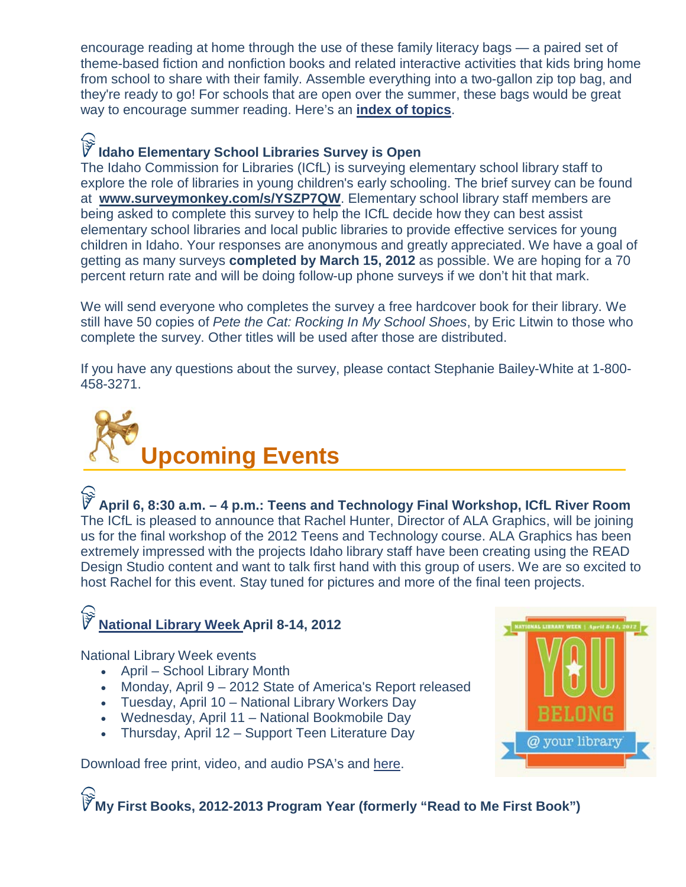encourage reading at home through the use of these family literacy bags — a paired set of theme-based fiction and nonfiction books and related interactive activities that kids bring home from school to share with their family. Assemble everything into a two-gallon zip top bag, and they're ready to go! For schools that are open over the summer, these bags would be great way to encourage summer reading. Here's an **[index of topics](http://www.readingrockets.org/content/pdfs/literacybags/)**.

### **Idaho Elementary School Libraries Survey is Open**

The Idaho Commission for Libraries (ICfL) is surveying elementary school library staff to explore the role of libraries in young children's early schooling. The brief survey can be found at **[www.surveymonkey.com/s/YSZP7QW](http://www.surveymonkey.com/s/YSZP7QW)**. Elementary school library staff members are being asked to complete this survey to help the ICfL decide how they can best assist elementary school libraries and local public libraries to provide effective services for young children in Idaho. Your responses are anonymous and greatly appreciated. We have a goal of getting as many surveys **completed by March 15, 2012** as possible. We are hoping for a 70 percent return rate and will be doing follow-up phone surveys if we don't hit that mark.

We will send everyone who completes the survey a free hardcover book for their library. We still have 50 copies of *Pete the Cat: Rocking In My School Shoes*, by Eric Litwin to those who complete the survey. Other titles will be used after those are distributed.

If you have any questions about the survey, please contact Stephanie Bailey-White at 1-800- 458-3271.

<span id="page-6-0"></span>

**April 6, 8:30 a.m. – 4 p.m.: Teens and Technology Final Workshop, ICfL River Room** The ICfL is pleased to announce that Rachel Hunter, Director of ALA Graphics, will be joining us for the final workshop of the 2012 Teens and Technology course. ALA Graphics has been extremely impressed with the projects Idaho library staff have been creating using the READ Design Studio content and want to talk first hand with this group of users. We are so excited to host Rachel for this event. Stay tuned for pictures and more of the final teen projects.

### **[National Library Week](http://www.ala.org/conferencesevents/celebrationweeks/natlibraryweek) April 8-14, 2012**

National Library Week events

- April School Library Month
- Monday, April 9 2012 State of America's Report released
- Tuesday, April 10 National Library Workers Day
- Wednesday, April 11 National Bookmobile Day
- Thursday, April 12 Support Teen Literature Day

Download free print, video, and audio PSA's and [here.](http://www.ala.org/conferencesevents/celebrationweeks/natlibraryweek)



**My First Books, 2012-2013 Program Year (formerly "Read to Me First Book")**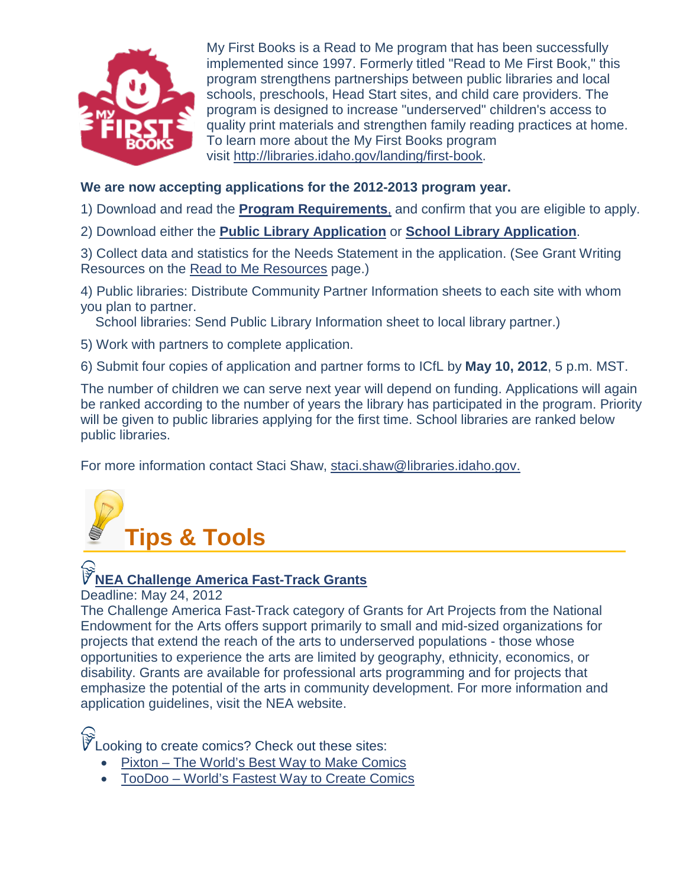<span id="page-7-0"></span>

My First Books is a Read to Me program that has been successfully implemented since 1997. Formerly titled "Read to Me First Book," this program strengthens partnerships between public libraries and local schools, preschools, Head Start sites, and child care providers. The program is designed to increase "underserved" children's access to quality print materials and strengthen family reading practices at home. To learn more about the My First Books program visit [http://libraries.idaho.gov/landing/first-book.](http://libraries.idaho.gov/landing/first-book)

### **We are now accepting applications for the 2012-2013 program year.**

1) Download and read the **[Program Requirements](http://libraries.idaho.gov/files/MFB_AppGuidlns2012-2013Ssha.pdf)**, and confirm that you are eligible to apply.

2) Download either the **[Public Library Application](http://libraries.idaho.gov/files/MFB_PubLibApp_2012-2013Ssha.doc)** or **[School Library Application](http://libraries.idaho.gov/files/MFB_SchoolLibApp_2012-2013Ssha.doc)**.

3) Collect data and statistics for the Needs Statement in the application. (See Grant Writing Resources on the [Read to Me Resources](http://libraries.idaho.gov/page/read-to-me-resources) page.)

4) Public libraries: Distribute Community Partner Information sheets to each site with whom you plan to partner.

School libraries: Send Public Library Information sheet to local library partner.)

- 5) Work with partners to complete application.
- 6) Submit four copies of application and partner forms to ICfL by **May 10, 2012**, 5 p.m. MST.

The number of children we can serve next year will depend on funding. Applications will again be ranked according to the number of years the library has participated in the program. Priority will be given to public libraries applying for the first time. School libraries are ranked below public libraries.

For more information contact Staci Shaw, [staci.shaw@libraries.idaho.gov.](mailto:staci.shaw@libraries.idaho.gov)



### **[NEA Challenge America Fast-Track Grants](http://www.arts.gov/grants/apply/GAP13/Challenge.html)**

Deadline: May 24, 2012

The Challenge America Fast-Track category of Grants for Art Projects from the National Endowment for the Arts offers support primarily to small and mid-sized organizations for projects that extend the reach of the arts to underserved populations - those whose opportunities to experience the arts are limited by geography, ethnicity, economics, or disability. Grants are available for professional arts programming and for projects that emphasize the potential of the arts in community development. For more information and application guidelines, visit the NEA website.

 $\widetilde{V}$  Looking to create comics? Check out these sites:

- Pixton [The World's Best Way to Make Comics](http://www.pixton.com/)
- TooDoo [World's Fastest Way to Create Comics](http://www.toondoo.com/)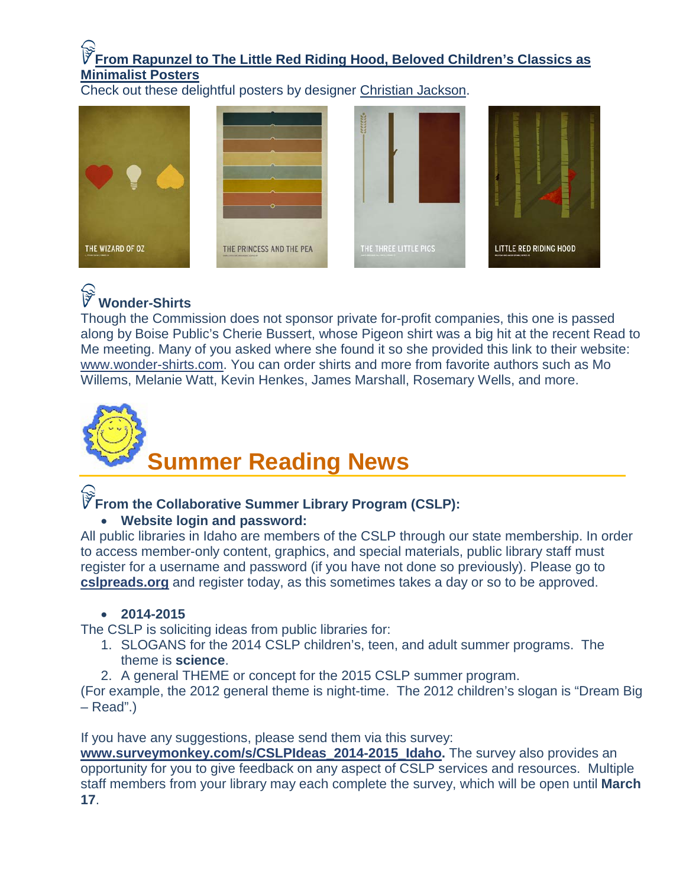### **[From Rapunzel to The Little Red Riding Hood, Beloved Children's Classics as](http://www.brainpickings.org/index.php/2012/02/27/childrens-book-posters/)  [Minimalist Posters](http://www.brainpickings.org/index.php/2012/02/27/childrens-book-posters/)**

Check out these delightful posters by designer [Christian Jackson.](http://www.squareinchdesign.com/about/)









### **Wonder-Shirts**

Though the Commission does not sponsor private for-profit companies, this one is passed along by Boise Public's Cherie Bussert, whose Pigeon shirt was a big hit at the recent Read to Me meeting. Many of you asked where she found it so she provided this link to their website: [www.wonder-shirts.com.](http://www.wonder-shirts.com/) You can order shirts and more from favorite authors such as Mo Willems, Melanie Watt, Kevin Henkes, James Marshall, Rosemary Wells, and more.

# <span id="page-8-0"></span>**Summer Reading News**

### **From the Collaborative Summer Library Program (CSLP):**

### • **Website login and password:**

All public libraries in Idaho are members of the CSLP through our state membership. In order to access member-only content, graphics, and special materials, public library staff must register for a username and password (if you have not done so previously). Please go to **[cslpreads.org](http://www.cslpreads.org/)** and register today, as this sometimes takes a day or so to be approved.

### • **2014-2015**

The CSLP is soliciting ideas from public libraries for:

- 1. SLOGANS for the 2014 CSLP children's, teen, and adult summer programs. The theme is **science**.
- 2. A general THEME or concept for the 2015 CSLP summer program.

(For example, the 2012 general theme is night-time. The 2012 children's slogan is "Dream Big – Read".)

If you have any suggestions, please send them via this survey:

**[www.surveymonkey.com/s/CSLPIdeas\\_2014-2015\\_Idaho.](http://www.surveymonkey.com/s/CSLPIdeas_2014-2015_Idaho)** The survey also provides an opportunity for you to give feedback on any aspect of CSLP services and resources. Multiple staff members from your library may each complete the survey, which will be open until **March 17**.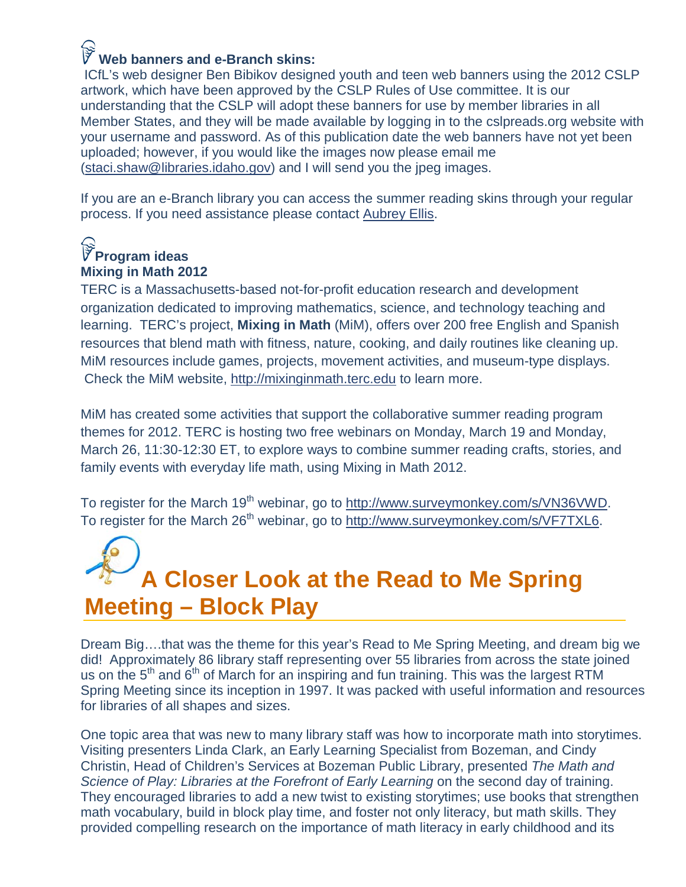### **Web banners and e-Branch skins:**

ICfL's web designer Ben Bibikov designed youth and teen web banners using the 2012 CSLP artwork, which have been approved by the CSLP Rules of Use committee. It is our understanding that the CSLP will adopt these banners for use by member libraries in all Member States, and they will be made available by logging in to the cslpreads.org website with your username and password. As of this publication date the web banners have not yet been uploaded; however, if you would like the images now please email me [\(staci.shaw@libraries.idaho.gov\)](mailto:staci.shaw@libraries.idaho.gov) and I will send you the jpeg images.

If you are an e-Branch library you can access the summer reading skins through your regular process. If you need assistance please contact [Aubrey Ellis.](mailto:aubrey.ellis@libraries.idaho.gov)

### **Program ideas Mixing in Math 2012**

TERC is a Massachusetts-based not-for-profit education research and development organization dedicated to improving mathematics, science, and technology teaching and learning. TERC's project, **Mixing in Math** (MiM), offers over 200 free English and Spanish resources that blend math with fitness, nature, cooking, and daily routines like cleaning up. MiM resources include games, projects, movement activities, and museum-type displays. Check the MiM website, [http://mixinginmath.terc.edu](http://mixinginmath.terc.edu/) to learn more.

MiM has created some activities that support the collaborative summer reading program themes for 2012. TERC is hosting two free webinars on Monday, March 19 and Monday, March 26, 11:30-12:30 ET, to explore ways to combine summer reading crafts, stories, and family events with everyday life math, using Mixing in Math 2012.

To register for the March 19<sup>th</sup> webinar, go to [http://www.surveymonkey.com/s/VN36VWD.](http://www.surveymonkey.com/s/VN36VWD) To register for the March 26<sup>th</sup> webinar, go to [http://www.surveymonkey.com/s/VF7TXL6.](http://www.surveymonkey.com/s/VF7TXL6)

## <span id="page-9-0"></span>**A Closer Look at the Read to Me Spring Meeting – Block Play**

Dream Big….that was the theme for this year's Read to Me Spring Meeting, and dream big we did! Approximately 86 library staff representing over 55 libraries from across the state joined us on the  $5<sup>th</sup>$  and  $6<sup>th</sup>$  of March for an inspiring and fun training. This was the largest RTM Spring Meeting since its inception in 1997. It was packed with useful information and resources for libraries of all shapes and sizes.

One topic area that was new to many library staff was how to incorporate math into storytimes. Visiting presenters Linda Clark, an Early Learning Specialist from Bozeman, and Cindy Christin, Head of Children's Services at Bozeman Public Library, presented *The Math and Science of Play: Libraries at the Forefront of Early Learning* on the second day of training. They encouraged libraries to add a new twist to existing storytimes; use books that strengthen math vocabulary, build in block play time, and foster not only literacy, but math skills. They provided compelling research on the importance of math literacy in early childhood and its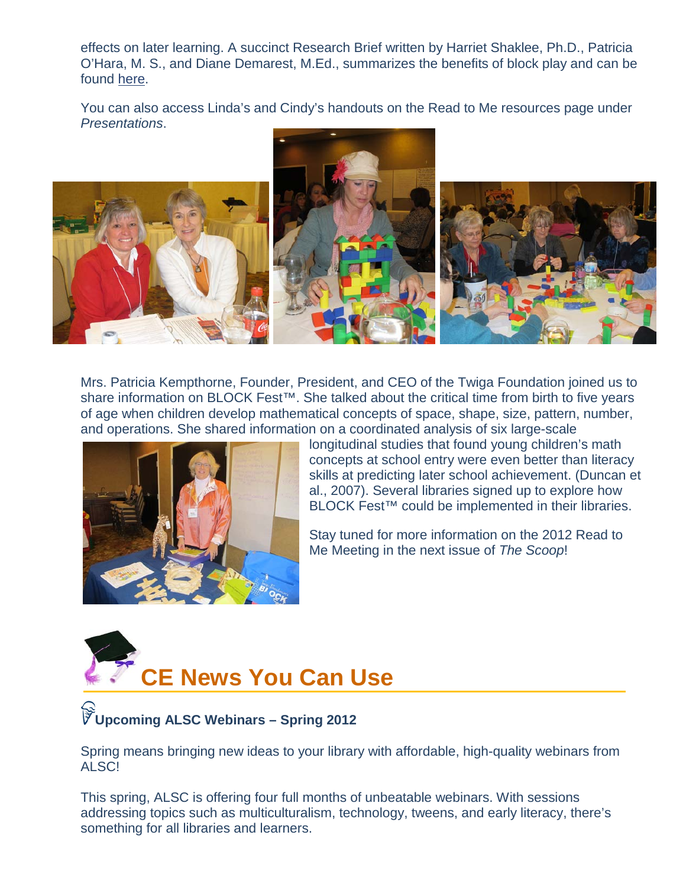effects on later learning. A succinct Research Brief written by Harriet Shaklee, Ph.D., Patricia O'Hara, M. S., and Diane Demarest, M.Ed., summarizes the benefits of block play and can be found [here.](http://www.blockfest.org/wp-content/uploads/2011/01/RB.WhitePaper.EarlyMathSkills.2008s.pdf)

You can also access Linda's and Cindy's handouts on the Read to Me resources page under *Presentations*.



Mrs. Patricia Kempthorne, Founder, President, and CEO of the Twiga Foundation joined us to share information on BLOCK Fest<sup>™</sup>. She talked about the critical time from birth to five years of age when children develop mathematical concepts of space, shape, size, pattern, number, and operations. She shared information on a coordinated analysis of six large-scale



longitudinal studies that found young children's math concepts at school entry were even better than literacy skills at predicting later school achievement. (Duncan et al., 2007). Several libraries signed up to explore how BLOCK Fest<sup>™</sup> could be implemented in their libraries.

Stay tuned for more information on the 2012 Read to Me Meeting in the next issue of *The Scoop*!

<span id="page-10-0"></span>

### **Upcoming ALSC Webinars – Spring 2012**

Spring means bringing new ideas to your library with affordable, high-quality webinars from ALSC!

This spring, ALSC is offering four full months of unbeatable webinars. With sessions addressing topics such as multiculturalism, technology, tweens, and early literacy, there's something for all libraries and learners.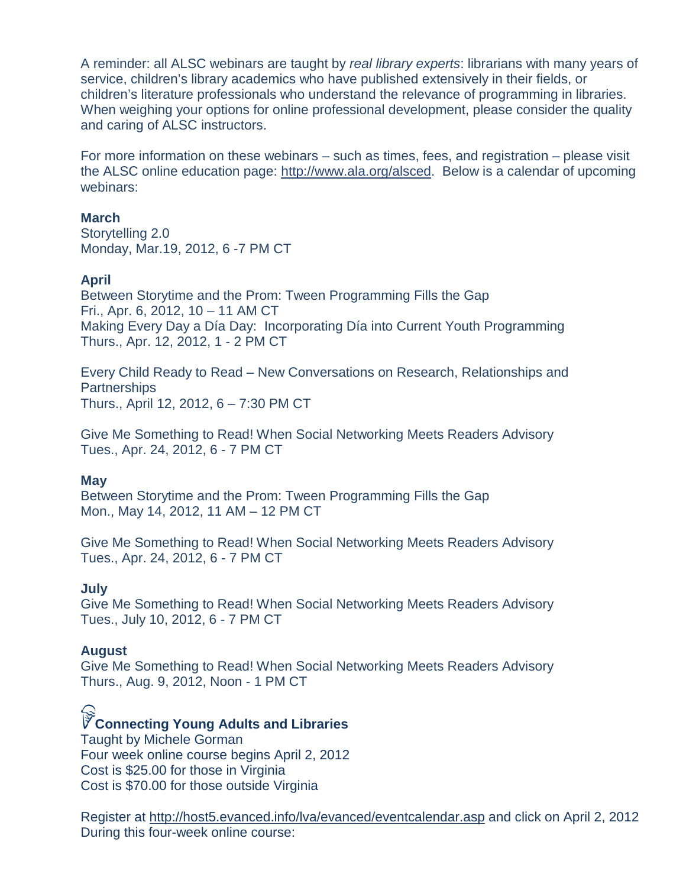A reminder: all ALSC webinars are taught by *real library experts*: librarians with many years of service, children's library academics who have published extensively in their fields, or children's literature professionals who understand the relevance of programming in libraries. When weighing your options for online professional development, please consider the quality and caring of ALSC instructors.

For more information on these webinars – such as times, fees, and registration – please visit the ALSC online education page: [http://www.ala.org/alsced.](http://www.ala.org/alsced) Below is a calendar of upcoming webinars:

#### **March**

Storytelling 2.0 Monday, Mar.19, 2012, 6 -7 PM CT

#### **April**

Between Storytime and the Prom: Tween Programming Fills the Gap Fri., Apr. 6, 2012, 10 – 11 AM CT Making Every Day a Día Day: Incorporating Día into Current Youth Programming Thurs., Apr. 12, 2012, 1 - 2 PM CT

Every Child Ready to Read – New Conversations on Research, Relationships and **Partnerships** Thurs., April 12, 2012, 6 – 7:30 PM CT

Give Me Something to Read! When Social Networking Meets Readers Advisory Tues., Apr. 24, 2012, 6 - 7 PM CT

#### **May**

Between Storytime and the Prom: Tween Programming Fills the Gap Mon., May 14, 2012, 11 AM – 12 PM CT

Give Me Something to Read! When Social Networking Meets Readers Advisory Tues., Apr. 24, 2012, 6 - 7 PM CT

#### **July**

Give Me Something to Read! When Social Networking Meets Readers Advisory Tues., July 10, 2012, 6 - 7 PM CT

#### **August**

Give Me Something to Read! When Social Networking Meets Readers Advisory Thurs., Aug. 9, 2012, Noon - 1 PM CT

### **Connecting Young Adults and Libraries**

Taught by Michele Gorman Four week online course begins April 2, 2012 Cost is \$25.00 for those in Virginia Cost is \$70.00 for those outside Virginia

Register at<http://host5.evanced.info/lva/evanced/eventcalendar.asp> and click on April 2, 2012 During this four-week online course: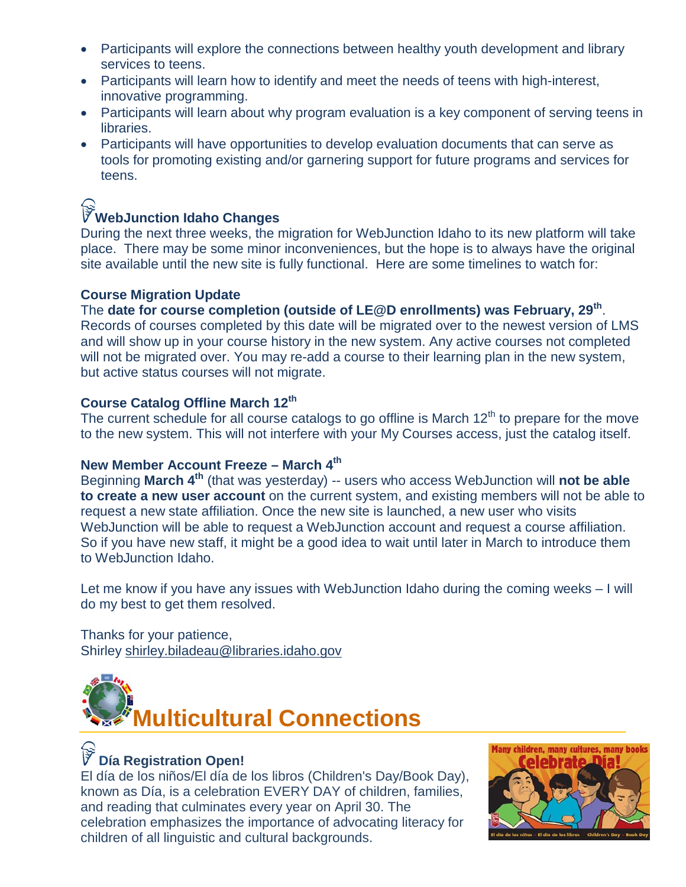- Participants will explore the connections between healthy youth development and library services to teens.
- Participants will learn how to identify and meet the needs of teens with high-interest, innovative programming.
- Participants will learn about why program evaluation is a key component of serving teens in libraries.
- Participants will have opportunities to develop evaluation documents that can serve as tools for promoting existing and/or garnering support for future programs and services for teens.

### WebJunction Idaho Changes

During the next three weeks, the migration for WebJunction Idaho to its new platform will take place. There may be some minor inconveniences, but the hope is to always have the original site available until the new site is fully functional. Here are some timelines to watch for:

#### **Course Migration Update**

The **date for course completion (outside of LE@D enrollments) was February, 29th**. Records of courses completed by this date will be migrated over to the newest version of LMS and will show up in your course history in the new system. Any active courses not completed will not be migrated over. You may re-add a course to their learning plan in the new system, but active status courses will not migrate.

### **Course Catalog Offline March 12th**

The current schedule for all course catalogs to go offline is March  $12<sup>th</sup>$  to prepare for the move to the new system. This will not interfere with your My Courses access, just the catalog itself.

### **New Member Account Freeze – March 4th**

Beginning **March 4th** (that was yesterday) -- users who access WebJunction will **not be able to create a new user account** on the current system, and existing members will not be able to request a new state affiliation. Once the new site is launched, a new user who visits WebJunction will be able to request a WebJunction account and request a course affiliation. So if you have new staff, it might be a good idea to wait until later in March to introduce them to WebJunction Idaho.

Let me know if you have any issues with WebJunction Idaho during the coming weeks – I will do my best to get them resolved.

Thanks for your patience, Shirley [shirley.biladeau@libraries.idaho.gov](mailto:shirley.biladeau@libraries.idaho.gov)

<span id="page-12-0"></span>

### **Día Registration Open!**

El día de los niños/El día de los libros (Children's Day/Book Day), known as Día, is a celebration EVERY DAY of children, families, and reading that culminates every year on April 30. The celebration emphasizes the importance of advocating literacy for children of all linguistic and cultural backgrounds.

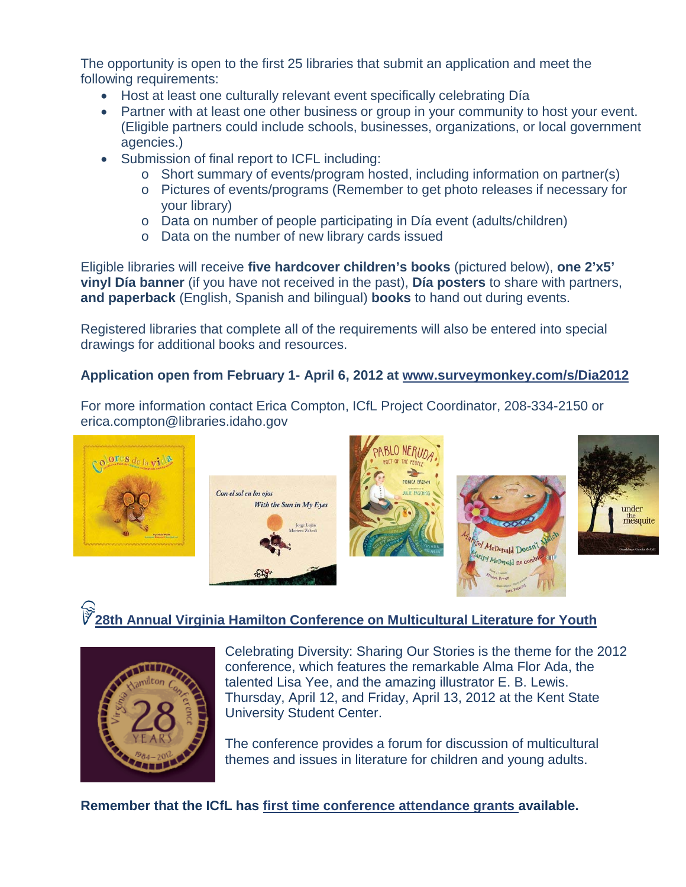The opportunity is open to the first 25 libraries that submit an application and meet the following requirements:

- Host at least one culturally relevant event specifically celebrating Día
- Partner with at least one other business or group in your community to host your event. (Eligible partners could include schools, businesses, organizations, or local government agencies.)
- Submission of final report to ICFL including:
	- o Short summary of events/program hosted, including information on partner(s)
	- o Pictures of events/programs (Remember to get photo releases if necessary for your library)
	- o Data on number of people participating in Día event (adults/children)
	- o Data on the number of new library cards issued

Eligible libraries will receive **five hardcover children's books** (pictured below), **one 2'x5' vinyl Día banner** (if you have not received in the past), **Día posters** to share with partners, **and paperback** (English, Spanish and bilingual) **books** to hand out during events.

Registered libraries that complete all of the requirements will also be entered into special drawings for additional books and resources.

### **Application open from February 1- April 6, 2012 at [www.surveymonkey.com/s/Dia2012](http://www.surveymonkey.com/s/Dia2012)**

For more information contact Erica Compton, ICfL Project Coordinator, 208-334-2150 or erica.compton@libraries.idaho.gov



### **[28th Annual Virginia Hamilton Conference on Multicultural Literature for Youth](http://virginia-hamilton.slis.kent.edu/2012.html)**



Celebrating Diversity: Sharing Our Stories is the theme for the 2012 conference, which features the remarkable Alma Flor Ada, the talented Lisa Yee, and the amazing illustrator E. B. Lewis. Thursday, April 12, and Friday, April 13, 2012 at the Kent State University Student Center.

The conference provides a forum for discussion of multicultural themes and issues in literature for children and young adults.

**Remember that the ICfL has [first time conference attendance grants a](http://libraries.idaho.gov/doc/continuing-education-first-time-attendance-application)vailable.**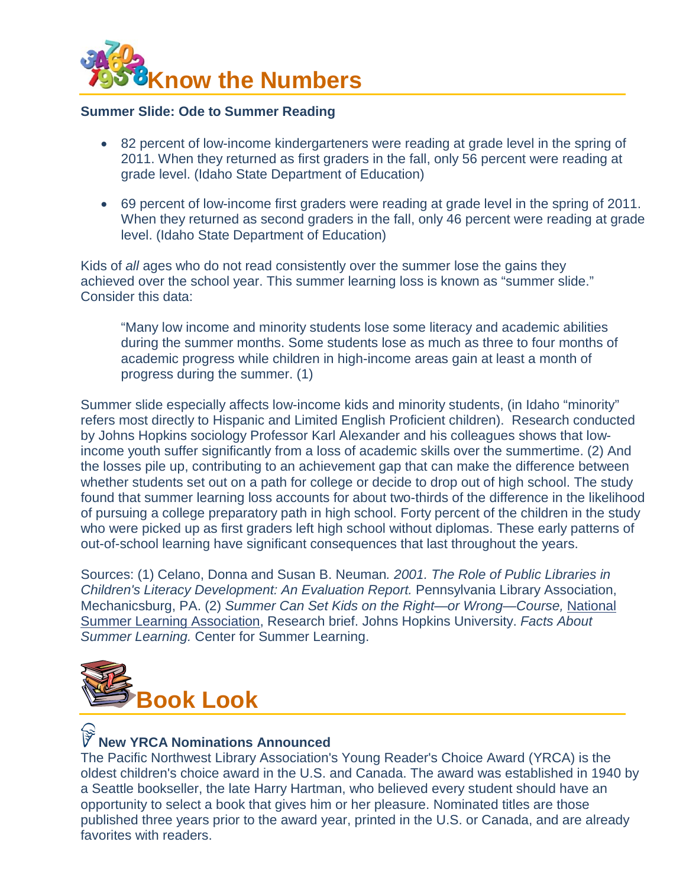<span id="page-14-0"></span>

#### <span id="page-14-1"></span>**Summer Slide: Ode to Summer Reading**

- 82 percent of low-income kindergarteners were reading at grade level in the spring of 2011. When they returned as first graders in the fall, only 56 percent were reading at grade level. (Idaho State Department of Education)
- 69 percent of low-income first graders were reading at grade level in the spring of 2011. When they returned as second graders in the fall, only 46 percent were reading at grade level. (Idaho State Department of Education)

Kids of *all* ages who do not read consistently over the summer lose the gains they achieved over the school year. This summer learning loss is known as "summer slide." Consider this data:

"Many low income and minority students lose some literacy and academic abilities during the summer months. Some students lose as much as three to four months of academic progress while children in high-income areas gain at least a month of progress during the summer. (1)

Summer slide especially affects low-income kids and minority students, (in Idaho "minority" refers most directly to Hispanic and Limited English Proficient children). Research conducted by Johns Hopkins sociology Professor Karl Alexander and his colleagues shows that lowincome youth suffer significantly from a loss of academic skills over the summertime. (2) And the losses pile up, contributing to an achievement gap that can make the difference between whether students set out on a path for college or decide to drop out of high school. The study found that summer learning loss accounts for about two-thirds of the difference in the likelihood of pursuing a college preparatory path in high school. Forty percent of the children in the study who were picked up as first graders left high school without diplomas. These early patterns of out-of-school learning have significant consequences that last throughout the years.

Sources: (1) Celano, Donna and Susan B. Neuman*. 2001. The Role of Public Libraries in Children's Literacy Development: An Evaluation Report.* Pennsylvania Library Association, Mechanicsburg, PA. (2) *Summer Can Set Kids on the Right—or Wrong—Course,* [National](http://www.summerlearning.org/)  [Summer Learning Association,](http://www.summerlearning.org/) Research brief. Johns Hopkins University. *Facts About Summer Learning.* Center for Summer Learning.



### **New YRCA Nominations Announced**

The Pacific Northwest Library Association's Young Reader's Choice Award (YRCA) is the oldest children's choice award in the U.S. and Canada. The award was established in 1940 by a Seattle bookseller, the late Harry Hartman, who believed every student should have an opportunity to select a book that gives him or her pleasure. Nominated titles are those published three years prior to the award year, printed in the U.S. or Canada, and are already favorites with readers.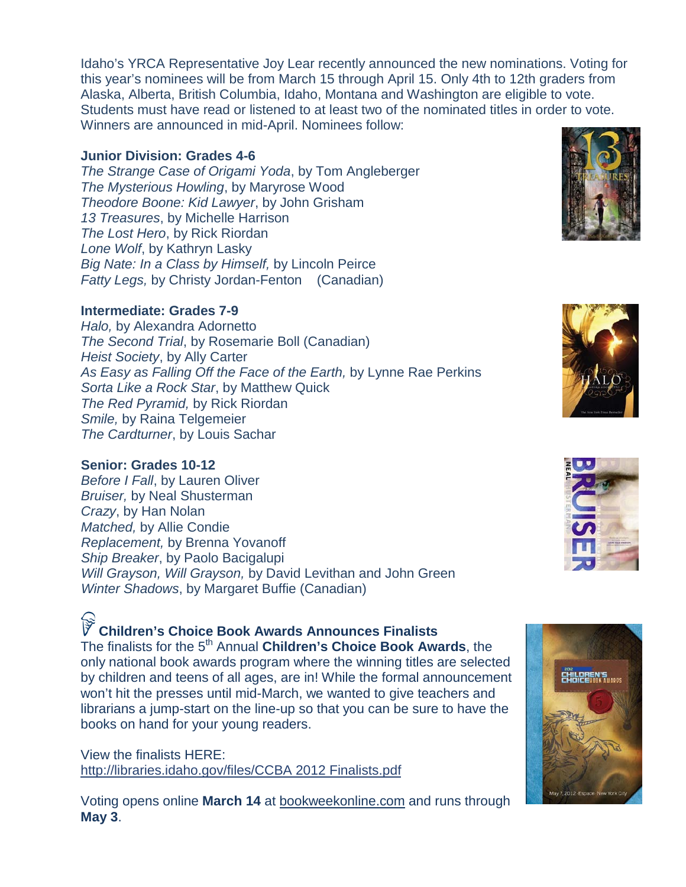Idaho's YRCA Representative Joy Lear recently announced the new nominations. Voting for this year's nominees will be from March 15 through April 15. Only 4th to 12th graders from Alaska, Alberta, British Columbia, Idaho, Montana and Washington are eligible to vote. Students must have read or listened to at least two of the nominated titles in order to vote. Winners are announced in mid-April. Nominees follow:

#### **Junior Division: Grades 4-6**

*The Strange Case of Origami Yoda*, by Tom Angleberger *The Mysterious Howling*, by Maryrose Wood *Theodore Boone: Kid Lawyer*, by John Grisham *13 Treasures*, by Michelle Harrison *The Lost Hero*, by Rick Riordan *Lone Wolf*, by Kathryn Lasky *Big Nate: In a Class by Himself,* by Lincoln Peirce *Fatty Legs,* by Christy Jordan-Fenton (Canadian)

### **Intermediate: Grades 7-9**

*Halo,* by Alexandra Adornetto *The Second Trial*, by Rosemarie Boll (Canadian) *Heist Society*, by Ally Carter *As Easy as Falling Off the Face of the Earth,* by Lynne Rae Perkins *Sorta Like a Rock Star*, by Matthew Quick *The Red Pyramid,* by Rick Riordan *Smile,* by Raina Telgemeier *The Cardturner*, by Louis Sachar

### **Senior: Grades 10-12**

*Before I Fall*, by Lauren Oliver *Bruiser,* by Neal Shusterman *Crazy*, by Han Nolan *Matched,* by Allie Condie *Replacement,* by Brenna Yovanoff *Ship Breaker*, by Paolo Bacigalupi *Will Grayson, Will Grayson,* by David Levithan and John Green *Winter Shadows*, by Margaret Buffie (Canadian)

### **Children's Choice Book Awards Announces Finalists**

The finalists for the 5<sup>th</sup> Annual **Children's Choice Book Awards**, the only national book awards program where the winning titles are selected by children and teens of all ages, are in! While the formal announcement won't hit the presses until mid-March, we wanted to give teachers and librarians a jump-start on the line-up so that you can be sure to have the books on hand for your young readers.

View the finalists HERE: [http://libraries.idaho.gov/files/CCBA 2012 Finalists.pdf](http://libraries.idaho.gov/files/CCBA%202012%20Finalists.pdf)

Voting opens online **March 14** at [bookweekonline.com](http://www.bookweekonline.com/) and runs through **May 3**.